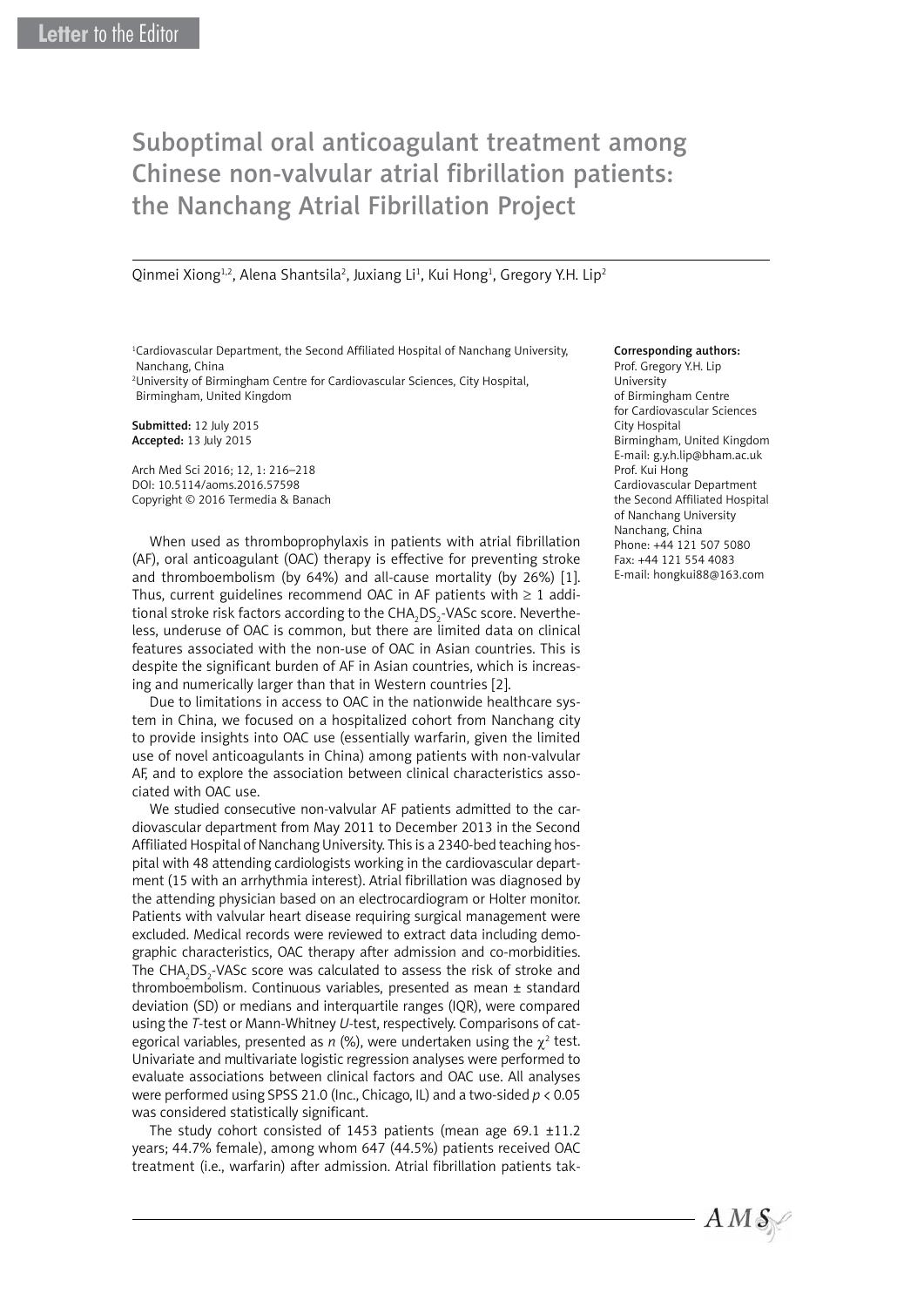# Suboptimal oral anticoagulant treatment among Chinese non-valvular atrial fibrillation patients: the Nanchang Atrial Fibrillation Project

Qinmei Xiong<sup>1,2</sup>, Alena Shantsila<sup>2</sup>, Juxiang Li<sup>1</sup>, Kui Hong<sup>1</sup>, Gregory Y.H. Lip<sup>2</sup>

<sup>1</sup>Cardiovascular Department, the Second Affiliated Hospital of Nanchang University, Nanchang, China

2 University of Birmingham Centre for Cardiovascular Sciences, City Hospital, Birmingham, United Kingdom

Submitted: 12 July 2015 Accepted: 13 July 2015

Arch Med Sci 2016; 12, 1: 216–218 DOI: 10.5114/aoms.2016.57598 Copyright © 2016 Termedia & Banach

When used as thromboprophylaxis in patients with atrial fibrillation (AF), oral anticoagulant (OAC) therapy is effective for preventing stroke and thromboembolism (by 64%) and all-cause mortality (by 26%) [1]. Thus, current guidelines recommend OAC in AF patients with  $\geq 1$  additional stroke risk factors according to the CHA $_{\rm 2}$ DS $_{\rm 2}$ -VASc score. Nevertheless, underuse of OAC is common, but there are limited data on clinical features associated with the non-use of OAC in Asian countries. This is despite the significant burden of AF in Asian countries, which is increasing and numerically larger than that in Western countries [2].

Due to limitations in access to OAC in the nationwide healthcare system in China, we focused on a hospitalized cohort from Nanchang city to provide insights into OAC use (essentially warfarin, given the limited use of novel anticoagulants in China) among patients with non-valvular AF, and to explore the association between clinical characteristics associated with OAC use.

We studied consecutive non-valvular AF patients admitted to the cardiovascular department from May 2011 to December 2013 in the Second Affiliated Hospital of Nanchang University. This is a 2340-bed teaching hospital with 48 attending cardiologists working in the cardiovascular department (15 with an arrhythmia interest). Atrial fibrillation was diagnosed by the attending physician based on an electrocardiogram or Holter monitor. Patients with valvular heart disease requiring surgical management were excluded. Medical records were reviewed to extract data including demographic characteristics, OAC therapy after admission and co-morbidities. The  $\text{CHA}_2\text{DS}_2\text{-}\text{VASc}$  score was calculated to assess the risk of stroke and thromboembolism. Continuous variables, presented as mean ± standard deviation (SD) or medians and interquartile ranges (IQR), were compared using the *T*-test or Mann-Whitney *U*-test, respectively. Comparisons of categorical variables, presented as  $n$  (%), were undertaken using the  $\chi^2$  test. Univariate and multivariate logistic regression analyses were performed to evaluate associations between clinical factors and OAC use. All analyses were performed using SPSS 21.0 (Inc., Chicago, IL) and a two-sided *p* < 0.05 was considered statistically significant.

The study cohort consisted of 1453 patients (mean age 69.1 ±11.2 years; 44.7% female), among whom 647 (44.5%) patients received OAC treatment (i.e., warfarin) after admission. Atrial fibrillation patients tak-

## Corresponding authors:

Prof. Gregory Y.H. Lip University of Birmingham Centre for Cardiovascular Sciences City Hospital Birmingham, United Kingdom E-mail: g.y.h.lip@bham.ac.uk Prof. Kui Hong Cardiovascular Department the Second Affiliated Hospital of Nanchang University Nanchang, China Phone: +44 121 507 5080 Fax: +44 121 554 4083 E-mail: hongkui88@163.com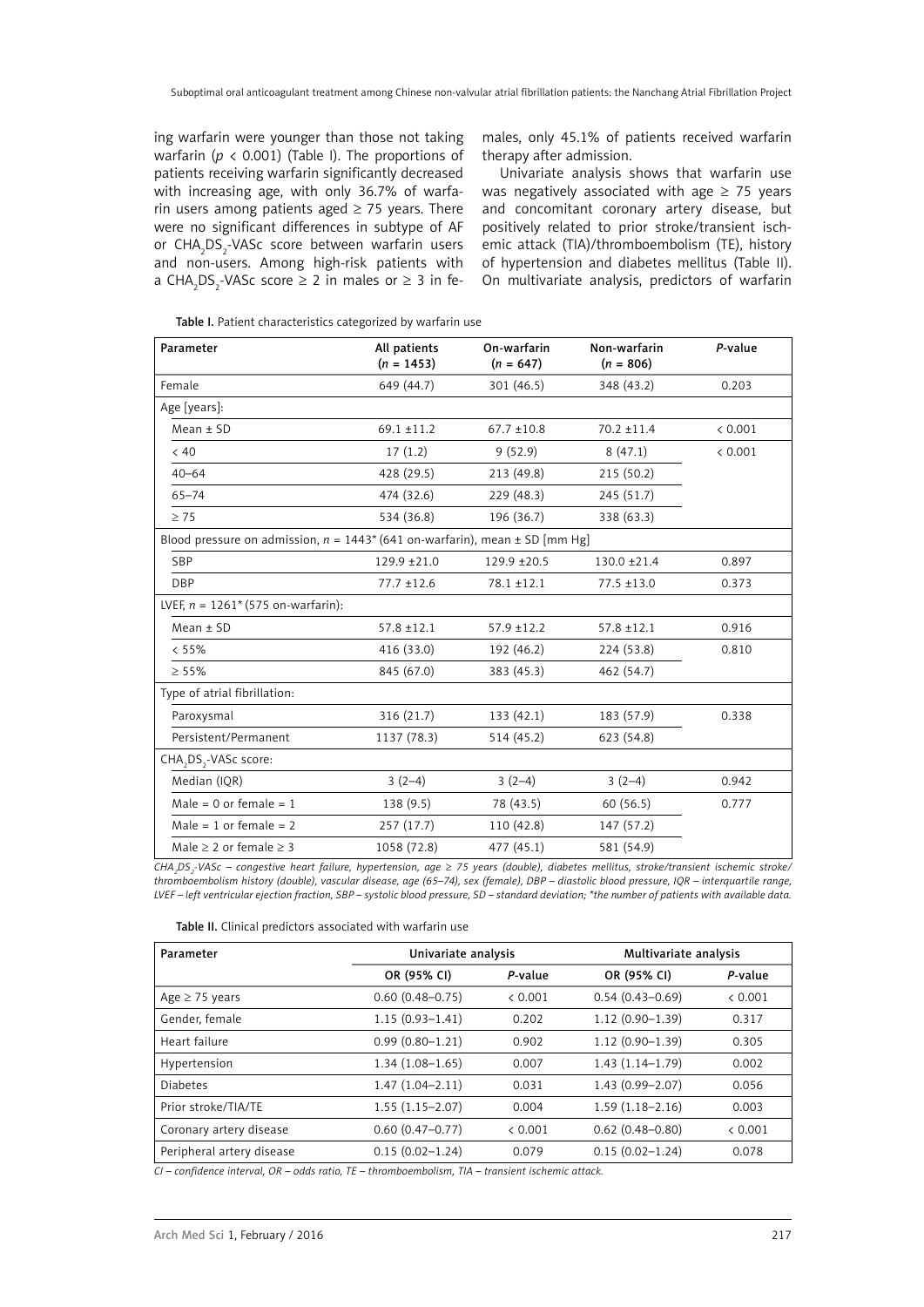ing warfarin were younger than those not taking warfarin ( $p < 0.001$ ) (Table I). The proportions of patients receiving warfarin significantly decreased with increasing age, with only 36.7% of warfarin users among patients aged  $\geq$  75 years. There were no significant differences in subtype of AF or CHA<sub>2</sub>DS<sub>2</sub>-VASc score between warfarin users and non-users. Among high-risk patients with a  $CHA<sub>2</sub>DS<sub>2</sub>$ -VASc score  $\geq 2$  in males or  $\geq 3$  in females, only 45.1% of patients received warfarin therapy after admission.

Univariate analysis shows that warfarin use was negatively associated with age  $\geq$  75 years and concomitant coronary artery disease, but positively related to prior stroke/transient ischemic attack (TIA)/thromboembolism (TE), history of hypertension and diabetes mellitus (Table II). On multivariate analysis, predictors of warfarin

| Parameter                                                                             | All patients<br>$(n = 1453)$ | On-warfarin<br>$(n = 647)$ | Non-warfarin<br>$(n = 806)$ | P-value |  |  |  |
|---------------------------------------------------------------------------------------|------------------------------|----------------------------|-----------------------------|---------|--|--|--|
| Female                                                                                | 649 (44.7)                   | 301 (46.5)                 | 348 (43.2)                  | 0.203   |  |  |  |
| Age [years]:                                                                          |                              |                            |                             |         |  |  |  |
| $Mean \pm SD$                                                                         | $69.1 \pm 11.2$              | $67.7 \pm 10.8$            | $70.2 \pm 11.4$             | < 0.001 |  |  |  |
| < 40                                                                                  | 17(1.2)                      | 9(52.9)                    | 8(47.1)                     | < 0.001 |  |  |  |
| $40 - 64$                                                                             | 428 (29.5)                   | 213 (49.8)                 | 215 (50.2)                  |         |  |  |  |
| $65 - 74$                                                                             | 474 (32.6)                   | 229 (48.3)                 | 245 (51.7)                  |         |  |  |  |
| $\geq 75$                                                                             | 534 (36.8)                   | 196 (36.7)                 | 338 (63.3)                  |         |  |  |  |
| Blood pressure on admission, $n = 1443*(641 \text{ on-warfarin})$ , mean ± SD [mm Hg] |                              |                            |                             |         |  |  |  |
| <b>SBP</b>                                                                            | $129.9 + 21.0$               | $129.9 + 20.5$             | $130.0 \pm 21.4$            | 0.897   |  |  |  |
| <b>DBP</b>                                                                            | $77.7 \pm 12.6$              | $78.1 \pm 12.1$            | $77.5 \pm 13.0$             | 0.373   |  |  |  |
| LVEF, $n = 1261^* (575 \text{ on-warfarin})$ :                                        |                              |                            |                             |         |  |  |  |
| $Mean \pm SD$                                                                         | $57.8 \pm 12.1$              | $57.9 \pm 12.2$            | $57.8 \pm 12.1$             | 0.916   |  |  |  |
| < 55%                                                                                 | 416 (33.0)                   | 192 (46.2)                 | 224 (53.8)                  | 0.810   |  |  |  |
| $\geq 55\%$                                                                           | 845 (67.0)                   | 383 (45.3)                 | 462 (54.7)                  |         |  |  |  |
| Type of atrial fibrillation:                                                          |                              |                            |                             |         |  |  |  |
| Paroxysmal                                                                            | 316 (21.7)                   | 133 (42.1)                 | 183 (57.9)                  | 0.338   |  |  |  |
| Persistent/Permanent                                                                  | 1137 (78.3)                  | 514 (45.2)                 | 623 (54.8)                  |         |  |  |  |
| CHA, DS,-VASc score:                                                                  |                              |                            |                             |         |  |  |  |
| Median (IOR)                                                                          | $3(2-4)$                     | $3(2-4)$                   | $3(2-4)$                    | 0.942   |  |  |  |
| Male = $0$ or female = $1$                                                            | 138 (9.5)                    | 78 (43.5)                  | 60(56.5)                    | 0.777   |  |  |  |
| Male = 1 or female = $2$                                                              | 257(17.7)                    | 110 (42.8)                 | 147 (57.2)                  |         |  |  |  |
| Male $\geq$ 2 or female $\geq$ 3                                                      | 1058 (72.8)                  | 477 (45.1)                 | 581 (54.9)                  |         |  |  |  |

*CHA2 DS2 -VASc – congestive heart failure, hypertension, age* ≥ *75 years (double), diabetes mellitus, stroke/transient ischemic stroke/ thromboembolism history (double), vascular disease, age (65–74), sex (female), DBP – diastolic blood pressure, IQR – interquartile range, LVEF – left ventricular ejection fraction, SBP – systolic blood pressure, SD – standard deviation; \*the number of patients with available data.*

| Table II. Clinical predictors associated with warfarin use |  |  |  |  |  |
|------------------------------------------------------------|--|--|--|--|--|
|------------------------------------------------------------|--|--|--|--|--|

| Parameter                 | Univariate analysis |         | Multivariate analysis |         |  |
|---------------------------|---------------------|---------|-----------------------|---------|--|
|                           | OR (95% CI)         | P-value | OR (95% CI)           | P-value |  |
| Age $\geq$ 75 years       | $0.60(0.48 - 0.75)$ | < 0.001 | $0.54(0.43 - 0.69)$   | < 0.001 |  |
| Gender, female            | $1.15(0.93 - 1.41)$ | 0.202   | $1.12(0.90 - 1.39)$   | 0.317   |  |
| Heart failure             | $0.99(0.80 - 1.21)$ | 0.902   | $1.12(0.90 - 1.39)$   | 0.305   |  |
| Hypertension              | $1.34(1.08-1.65)$   | 0.007   | $1.43(1.14 - 1.79)$   | 0.002   |  |
| <b>Diabetes</b>           | $1.47(1.04 - 2.11)$ | 0.031   | 1.43 (0.99-2.07)      | 0.056   |  |
| Prior stroke/TIA/TE       | $1.55(1.15 - 2.07)$ | 0.004   | $1.59(1.18 - 2.16)$   | 0.003   |  |
| Coronary artery disease   | $0.60(0.47 - 0.77)$ | < 0.001 | $0.62(0.48 - 0.80)$   | < 0.001 |  |
| Peripheral artery disease | $0.15(0.02 - 1.24)$ | 0.079   | $0.15(0.02 - 1.24)$   | 0.078   |  |

*CI – confidence interval, OR – odds ratio, TE – thromboembolism, TIA – transient ischemic attack.*